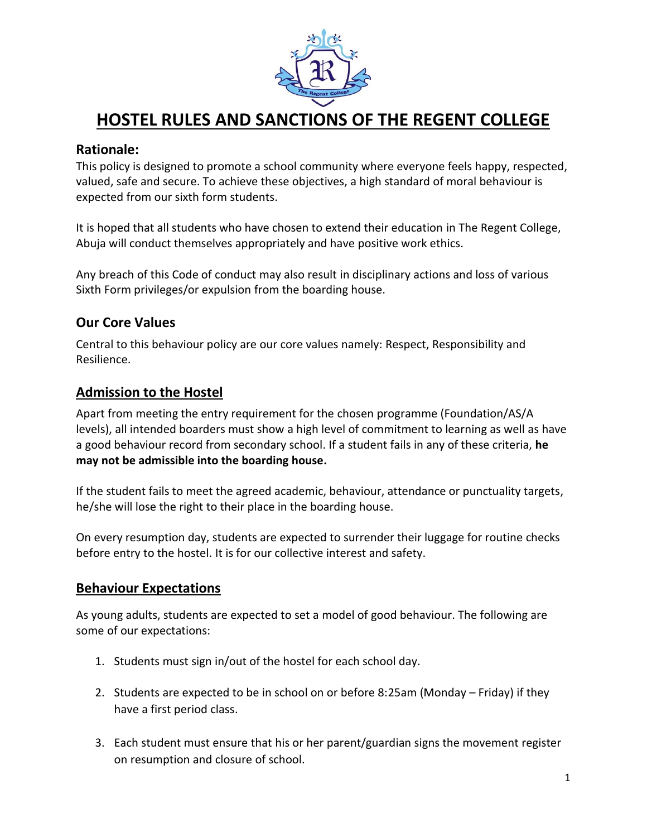

# **HOSTEL RULES AND SANCTIONS OF THE REGENT COLLEGE**

## **Rationale:**

This policy is designed to promote a school community where everyone feels happy, respected, valued, safe and secure. To achieve these objectives, a high standard of moral behaviour is expected from our sixth form students.

It is hoped that all students who have chosen to extend their education in The Regent College, Abuja will conduct themselves appropriately and have positive work ethics.

Any breach of this Code of conduct may also result in disciplinary actions and loss of various Sixth Form privileges/or expulsion from the boarding house.

## **Our Core Values**

Central to this behaviour policy are our core values namely: Respect, Responsibility and Resilience.

#### **Admission to the Hostel**

Apart from meeting the entry requirement for the chosen programme (Foundation/AS/A levels), all intended boarders must show a high level of commitment to learning as well as have a good behaviour record from secondary school. If a student fails in any of these criteria, **he may not be admissible into the boarding house.** 

If the student fails to meet the agreed academic, behaviour, attendance or punctuality targets, he/she will lose the right to their place in the boarding house.

On every resumption day, students are expected to surrender their luggage for routine checks before entry to the hostel. It is for our collective interest and safety.

## **Behaviour Expectations**

As young adults, students are expected to set a model of good behaviour. The following are some of our expectations:

- 1. Students must sign in/out of the hostel for each school day.
- 2. Students are expected to be in school on or before 8:25am (Monday Friday) if they have a first period class.
- 3. Each student must ensure that his or her parent/guardian signs the movement register on resumption and closure of school.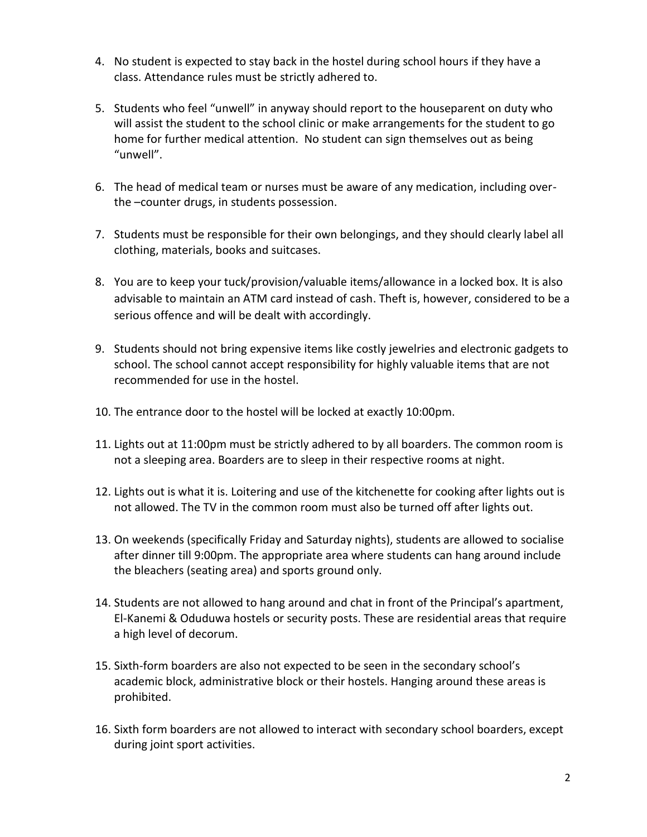- 4. No student is expected to stay back in the hostel during school hours if they have a class. Attendance rules must be strictly adhered to.
- 5. Students who feel "unwell" in anyway should report to the houseparent on duty who will assist the student to the school clinic or make arrangements for the student to go home for further medical attention. No student can sign themselves out as being "unwell".
- 6. The head of medical team or nurses must be aware of any medication, including overthe –counter drugs, in students possession.
- 7. Students must be responsible for their own belongings, and they should clearly label all clothing, materials, books and suitcases.
- 8. You are to keep your tuck/provision/valuable items/allowance in a locked box. It is also advisable to maintain an ATM card instead of cash. Theft is, however, considered to be a serious offence and will be dealt with accordingly.
- 9. Students should not bring expensive items like costly jewelries and electronic gadgets to school. The school cannot accept responsibility for highly valuable items that are not recommended for use in the hostel.
- 10. The entrance door to the hostel will be locked at exactly 10:00pm.
- 11. Lights out at 11:00pm must be strictly adhered to by all boarders. The common room is not a sleeping area. Boarders are to sleep in their respective rooms at night.
- 12. Lights out is what it is. Loitering and use of the kitchenette for cooking after lights out is not allowed. The TV in the common room must also be turned off after lights out.
- 13. On weekends (specifically Friday and Saturday nights), students are allowed to socialise after dinner till 9:00pm. The appropriate area where students can hang around include the bleachers (seating area) and sports ground only.
- 14. Students are not allowed to hang around and chat in front of the Principal's apartment, El-Kanemi & Oduduwa hostels or security posts. These are residential areas that require a high level of decorum.
- 15. Sixth-form boarders are also not expected to be seen in the secondary school's academic block, administrative block or their hostels. Hanging around these areas is prohibited.
- 16. Sixth form boarders are not allowed to interact with secondary school boarders, except during joint sport activities.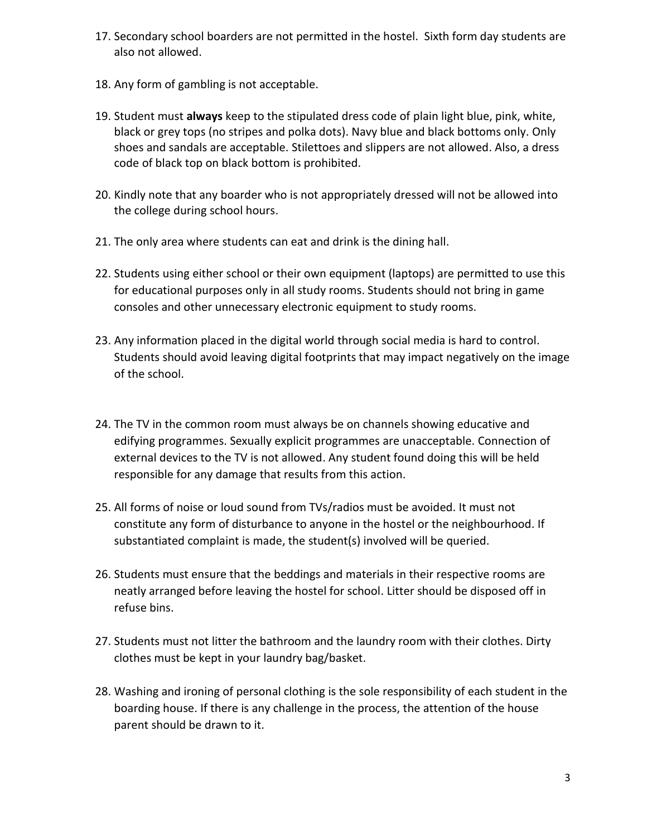- 17. Secondary school boarders are not permitted in the hostel. Sixth form day students are also not allowed.
- 18. Any form of gambling is not acceptable.
- 19. Student must **always** keep to the stipulated dress code of plain light blue, pink, white, black or grey tops (no stripes and polka dots). Navy blue and black bottoms only. Only shoes and sandals are acceptable. Stilettoes and slippers are not allowed. Also, a dress code of black top on black bottom is prohibited.
- 20. Kindly note that any boarder who is not appropriately dressed will not be allowed into the college during school hours.
- 21. The only area where students can eat and drink is the dining hall.
- 22. Students using either school or their own equipment (laptops) are permitted to use this for educational purposes only in all study rooms. Students should not bring in game consoles and other unnecessary electronic equipment to study rooms.
- 23. Any information placed in the digital world through social media is hard to control. Students should avoid leaving digital footprints that may impact negatively on the image of the school.
- 24. The TV in the common room must always be on channels showing educative and edifying programmes. Sexually explicit programmes are unacceptable. Connection of external devices to the TV is not allowed. Any student found doing this will be held responsible for any damage that results from this action.
- 25. All forms of noise or loud sound from TVs/radios must be avoided. It must not constitute any form of disturbance to anyone in the hostel or the neighbourhood. If substantiated complaint is made, the student(s) involved will be queried.
- 26. Students must ensure that the beddings and materials in their respective rooms are neatly arranged before leaving the hostel for school. Litter should be disposed off in refuse bins.
- 27. Students must not litter the bathroom and the laundry room with their clothes. Dirty clothes must be kept in your laundry bag/basket.
- 28. Washing and ironing of personal clothing is the sole responsibility of each student in the boarding house. If there is any challenge in the process, the attention of the house parent should be drawn to it.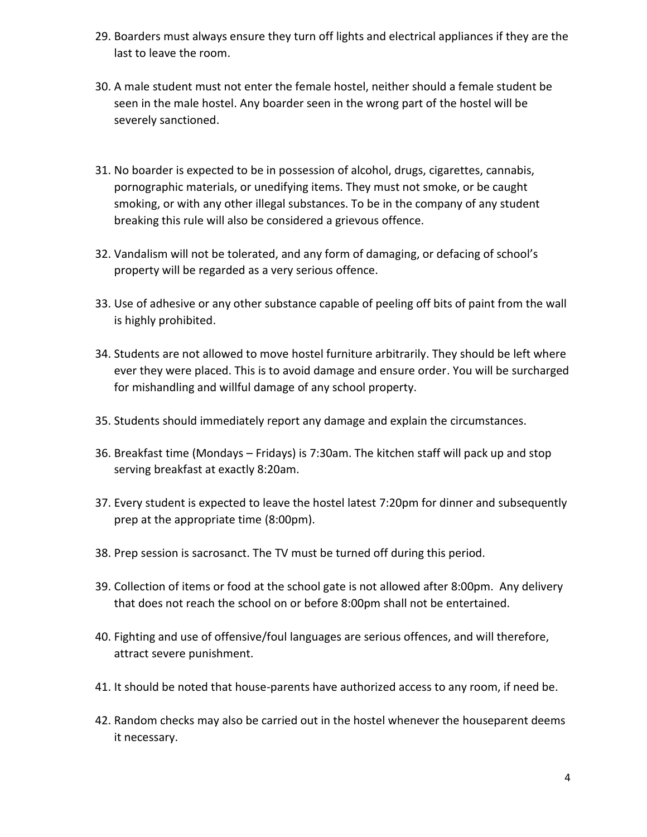- 29. Boarders must always ensure they turn off lights and electrical appliances if they are the last to leave the room.
- 30. A male student must not enter the female hostel, neither should a female student be seen in the male hostel. Any boarder seen in the wrong part of the hostel will be severely sanctioned.
- 31. No boarder is expected to be in possession of alcohol, drugs, cigarettes, cannabis, pornographic materials, or unedifying items. They must not smoke, or be caught smoking, or with any other illegal substances. To be in the company of any student breaking this rule will also be considered a grievous offence.
- 32. Vandalism will not be tolerated, and any form of damaging, or defacing of school's property will be regarded as a very serious offence.
- 33. Use of adhesive or any other substance capable of peeling off bits of paint from the wall is highly prohibited.
- 34. Students are not allowed to move hostel furniture arbitrarily. They should be left where ever they were placed. This is to avoid damage and ensure order. You will be surcharged for mishandling and willful damage of any school property.
- 35. Students should immediately report any damage and explain the circumstances.
- 36. Breakfast time (Mondays Fridays) is 7:30am. The kitchen staff will pack up and stop serving breakfast at exactly 8:20am.
- 37. Every student is expected to leave the hostel latest 7:20pm for dinner and subsequently prep at the appropriate time (8:00pm).
- 38. Prep session is sacrosanct. The TV must be turned off during this period.
- 39. Collection of items or food at the school gate is not allowed after 8:00pm. Any delivery that does not reach the school on or before 8:00pm shall not be entertained.
- 40. Fighting and use of offensive/foul languages are serious offences, and will therefore, attract severe punishment.
- 41. It should be noted that house-parents have authorized access to any room, if need be.
- 42. Random checks may also be carried out in the hostel whenever the houseparent deems it necessary.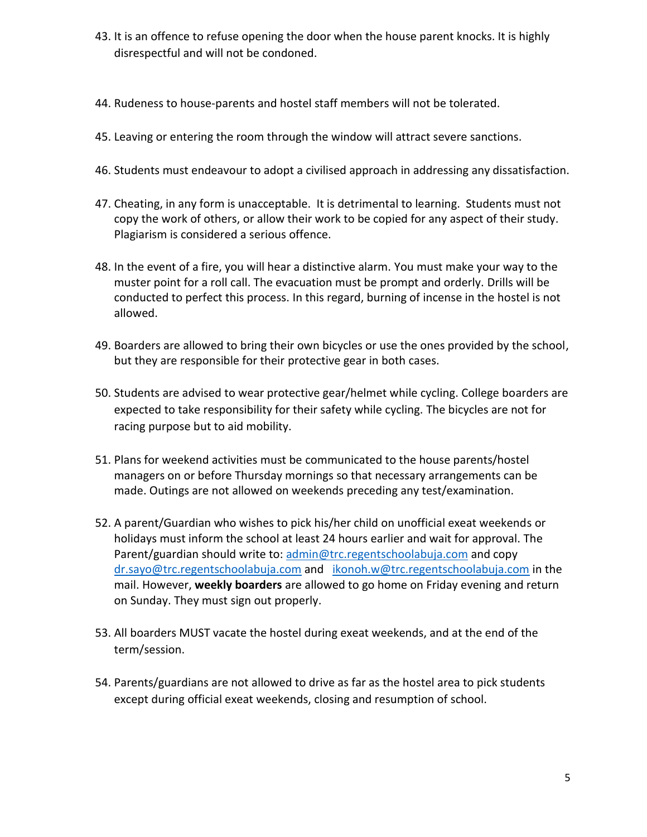- 43. It is an offence to refuse opening the door when the house parent knocks. It is highly disrespectful and will not be condoned.
- 44. Rudeness to house-parents and hostel staff members will not be tolerated.
- 45. Leaving or entering the room through the window will attract severe sanctions.
- 46. Students must endeavour to adopt a civilised approach in addressing any dissatisfaction.
- 47. Cheating, in any form is unacceptable. It is detrimental to learning. Students must not copy the work of others, or allow their work to be copied for any aspect of their study. Plagiarism is considered a serious offence.
- 48. In the event of a fire, you will hear a distinctive alarm. You must make your way to the muster point for a roll call. The evacuation must be prompt and orderly. Drills will be conducted to perfect this process. In this regard, burning of incense in the hostel is not allowed.
- 49. Boarders are allowed to bring their own bicycles or use the ones provided by the school, but they are responsible for their protective gear in both cases.
- 50. Students are advised to wear protective gear/helmet while cycling. College boarders are expected to take responsibility for their safety while cycling. The bicycles are not for racing purpose but to aid mobility.
- 51. Plans for weekend activities must be communicated to the house parents/hostel managers on or before Thursday mornings so that necessary arrangements can be made. Outings are not allowed on weekends preceding any test/examination.
- 52. A parent/Guardian who wishes to pick his/her child on unofficial exeat weekends or holidays must inform the school at least 24 hours earlier and wait for approval. The Parent/guardian should write to[: admin@trc.regentschoolabuja.com](mailto:admin@trc.regentschoolabuja.com) and copy [dr.sayo@trc.regentschoolabuja.com](mailto:dr.sayo@trc.regentschoolabuja.com) and [ikonoh.w@trc.regentschoolabuja.com](mailto:ikonoh.w@trc.regentschoolabuja.com) in the mail. However, **weekly boarders** are allowed to go home on Friday evening and return on Sunday. They must sign out properly.
- 53. All boarders MUST vacate the hostel during exeat weekends, and at the end of the term/session.
- 54. Parents/guardians are not allowed to drive as far as the hostel area to pick students except during official exeat weekends, closing and resumption of school.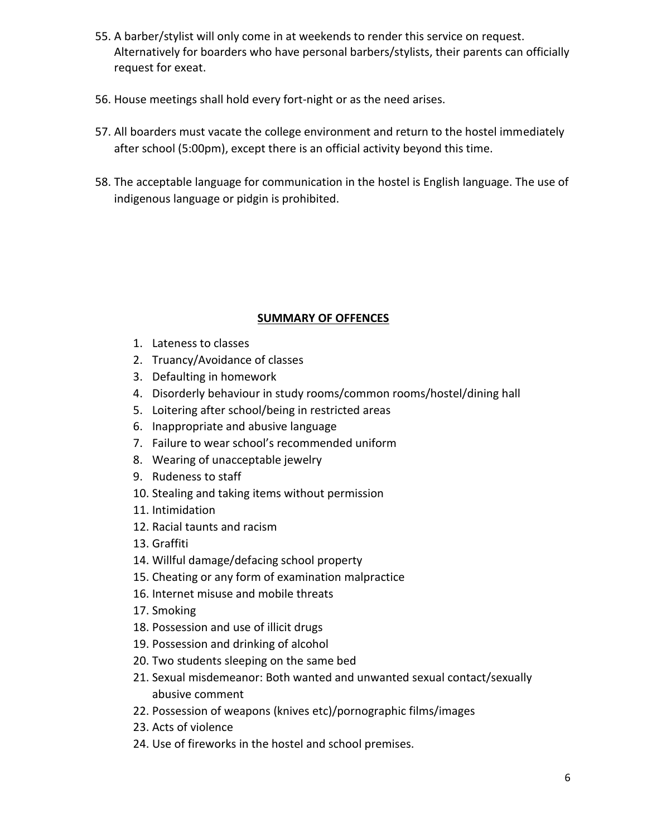- 55. A barber/stylist will only come in at weekends to render this service on request. Alternatively for boarders who have personal barbers/stylists, their parents can officially request for exeat.
- 56. House meetings shall hold every fort-night or as the need arises.
- 57. All boarders must vacate the college environment and return to the hostel immediately after school (5:00pm), except there is an official activity beyond this time.
- 58. The acceptable language for communication in the hostel is English language. The use of indigenous language or pidgin is prohibited.

## **SUMMARY OF OFFENCES**

- 1. Lateness to classes
- 2. Truancy/Avoidance of classes
- 3. Defaulting in homework
- 4. Disorderly behaviour in study rooms/common rooms/hostel/dining hall
- 5. Loitering after school/being in restricted areas
- 6. Inappropriate and abusive language
- 7. Failure to wear school's recommended uniform
- 8. Wearing of unacceptable jewelry
- 9. Rudeness to staff
- 10. Stealing and taking items without permission
- 11. Intimidation
- 12. Racial taunts and racism
- 13. Graffiti
- 14. Willful damage/defacing school property
- 15. Cheating or any form of examination malpractice
- 16. Internet misuse and mobile threats
- 17. Smoking
- 18. Possession and use of illicit drugs
- 19. Possession and drinking of alcohol
- 20. Two students sleeping on the same bed
- 21. Sexual misdemeanor: Both wanted and unwanted sexual contact/sexually abusive comment
- 22. Possession of weapons (knives etc)/pornographic films/images
- 23. Acts of violence
- 24. Use of fireworks in the hostel and school premises.